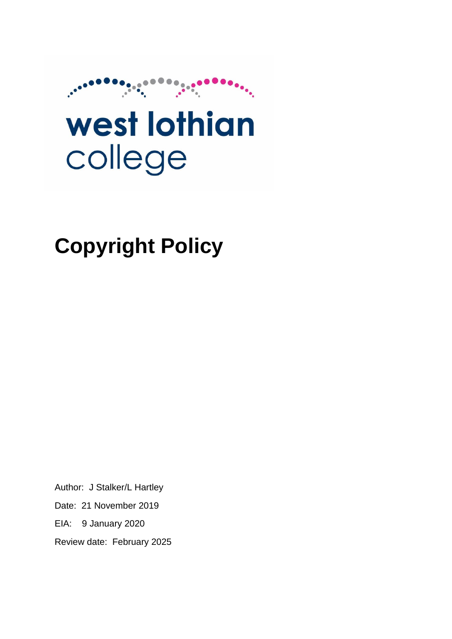

# west lothian college

## **Copyright Policy**

Author: J Stalker/L Hartley Date: 21 November 2019 EIA: 9 January 2020 Review date: February 2025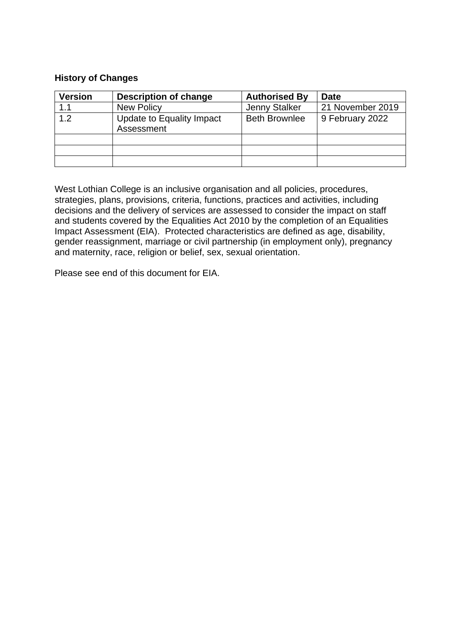#### **History of Changes**

| <b>Version</b> | <b>Description of change</b>            | <b>Authorised By</b> | <b>Date</b>      |
|----------------|-----------------------------------------|----------------------|------------------|
| 1.1            | <b>New Policy</b>                       | Jenny Stalker        | 21 November 2019 |
| 1.2            | Update to Equality Impact<br>Assessment | <b>Beth Brownlee</b> | 9 February 2022  |
|                |                                         |                      |                  |
|                |                                         |                      |                  |
|                |                                         |                      |                  |

West Lothian College is an inclusive organisation and all policies, procedures, strategies, plans, provisions, criteria, functions, practices and activities, including decisions and the delivery of services are assessed to consider the impact on staff and students covered by the Equalities Act 2010 by the completion of an Equalities Impact Assessment (EIA). Protected characteristics are defined as age, disability, gender reassignment, marriage or civil partnership (in employment only), pregnancy and maternity, race, religion or belief, sex, sexual orientation.

Please see end of this document for EIA.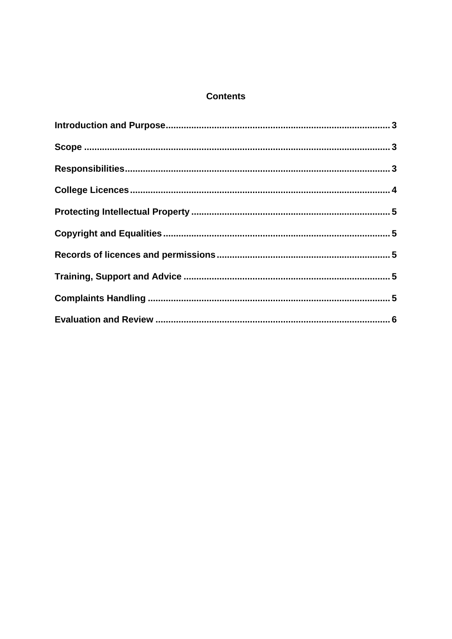#### **Contents**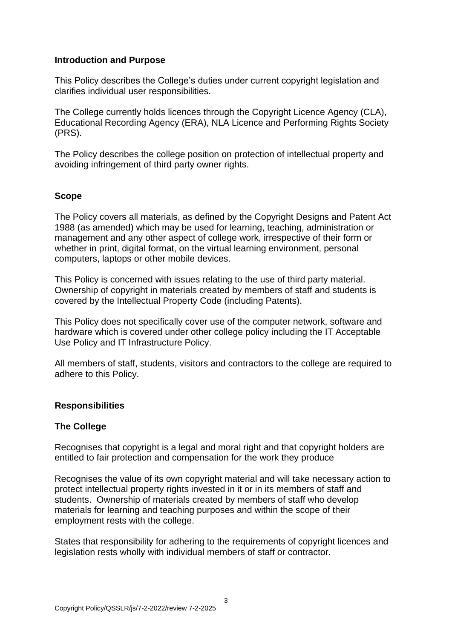#### <span id="page-3-0"></span>**Introduction and Purpose**

This Policy describes the College's duties under current copyright legislation and clarifies individual user responsibilities.

The College currently holds licences through the Copyright Licence Agency (CLA), Educational Recording Agency (ERA), NLA Licence and Performing Rights Society (PRS).

The Policy describes the college position on protection of intellectual property and avoiding infringement of third party owner rights.

#### <span id="page-3-1"></span>**Scope**

The Policy covers all materials, as defined by the Copyright Designs and Patent Act 1988 (as amended) which may be used for learning, teaching, administration or management and any other aspect of college work, irrespective of their form or whether in print, digital format, on the virtual learning environment, personal computers, laptops or other mobile devices.

This Policy is concerned with issues relating to the use of third party material. Ownership of copyright in materials created by members of staff and students is covered by the Intellectual Property Code (including Patents).

This Policy does not specifically cover use of the computer network, software and hardware which is covered under other college policy including the IT Acceptable Use Policy and IT Infrastructure Policy.

All members of staff, students, visitors and contractors to the college are required to adhere to this Policy.

#### <span id="page-3-2"></span>**Responsibilities**

#### **The College**

Recognises that copyright is a legal and moral right and that copyright holders are entitled to fair protection and compensation for the work they produce

Recognises the value of its own copyright material and will take necessary action to protect intellectual property rights invested in it or in its members of staff and students. Ownership of materials created by members of staff who develop materials for learning and teaching purposes and within the scope of their employment rests with the college.

States that responsibility for adhering to the requirements of copyright licences and legislation rests wholly with individual members of staff or contractor.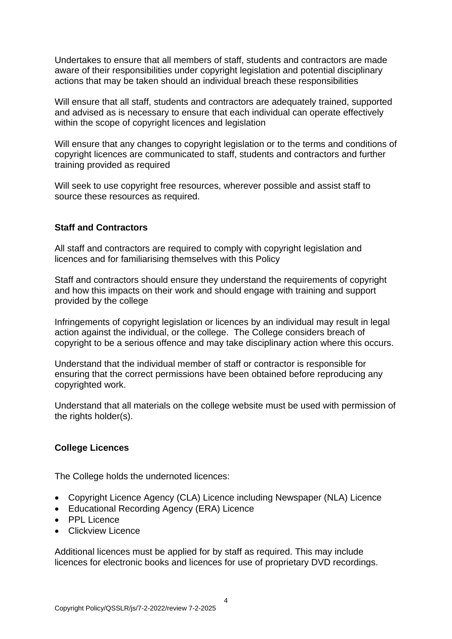Undertakes to ensure that all members of staff, students and contractors are made aware of their responsibilities under copyright legislation and potential disciplinary actions that may be taken should an individual breach these responsibilities

Will ensure that all staff, students and contractors are adequately trained, supported and advised as is necessary to ensure that each individual can operate effectively within the scope of copyright licences and legislation

Will ensure that any changes to copyright legislation or to the terms and conditions of copyright licences are communicated to staff, students and contractors and further training provided as required

Will seek to use copyright free resources, wherever possible and assist staff to source these resources as required.

#### **Staff and Contractors**

All staff and contractors are required to comply with copyright legislation and licences and for familiarising themselves with this Policy

Staff and contractors should ensure they understand the requirements of copyright and how this impacts on their work and should engage with training and support provided by the college

Infringements of copyright legislation or licences by an individual may result in legal action against the individual, or the college. The College considers breach of copyright to be a serious offence and may take disciplinary action where this occurs.

Understand that the individual member of staff or contractor is responsible for ensuring that the correct permissions have been obtained before reproducing any copyrighted work.

Understand that all materials on the college website must be used with permission of the rights holder(s).

#### <span id="page-4-0"></span>**College Licences**

The College holds the undernoted licences:

- Copyright Licence Agency (CLA) Licence including Newspaper (NLA) Licence
- Educational Recording Agency (ERA) Licence
- PPL Licence
- Clickview Licence

Additional licences must be applied for by staff as required. This may include licences for electronic books and licences for use of proprietary DVD recordings.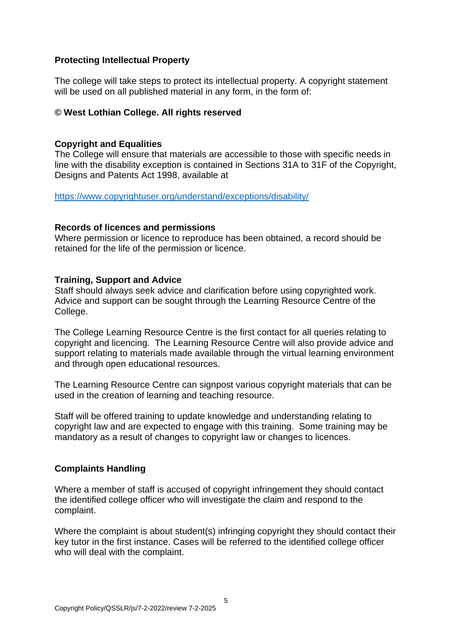#### <span id="page-5-0"></span>**Protecting Intellectual Property**

The college will take steps to protect its intellectual property. A copyright statement will be used on all published material in any form, in the form of:

#### **© West Lothian College. All rights reserved**

#### <span id="page-5-1"></span>**Copyright and Equalities**

The College will ensure that materials are accessible to those with specific needs in line with the disability exception is contained in Sections 31A to 31F of the Copyright, Designs and Patents Act 1998, available at

<https://www.copyrightuser.org/understand/exceptions/disability/>

#### <span id="page-5-2"></span>**Records of licences and permissions**

Where permission or licence to reproduce has been obtained, a record should be retained for the life of the permission or licence.

#### <span id="page-5-3"></span>**Training, Support and Advice**

Staff should always seek advice and clarification before using copyrighted work. Advice and support can be sought through the Learning Resource Centre of the College.

The College Learning Resource Centre is the first contact for all queries relating to copyright and licencing. The Learning Resource Centre will also provide advice and support relating to materials made available through the virtual learning environment and through open educational resources.

The Learning Resource Centre can signpost various copyright materials that can be used in the creation of learning and teaching resource.

Staff will be offered training to update knowledge and understanding relating to copyright law and are expected to engage with this training. Some training may be mandatory as a result of changes to copyright law or changes to licences.

#### <span id="page-5-4"></span>**Complaints Handling**

Where a member of staff is accused of copyright infringement they should contact the identified college officer who will investigate the claim and respond to the complaint.

Where the complaint is about student(s) infringing copyright they should contact their key tutor in the first instance. Cases will be referred to the identified college officer who will deal with the complaint.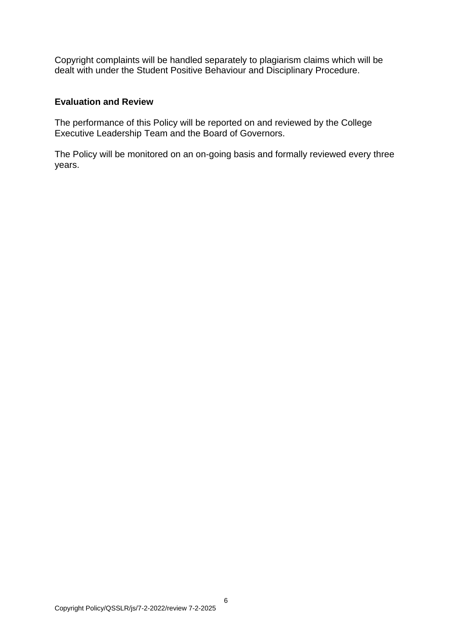Copyright complaints will be handled separately to plagiarism claims which will be dealt with under the Student Positive Behaviour and Disciplinary Procedure.

#### <span id="page-6-0"></span>**Evaluation and Review**

The performance of this Policy will be reported on and reviewed by the College Executive Leadership Team and the Board of Governors.

The Policy will be monitored on an on-going basis and formally reviewed every three years.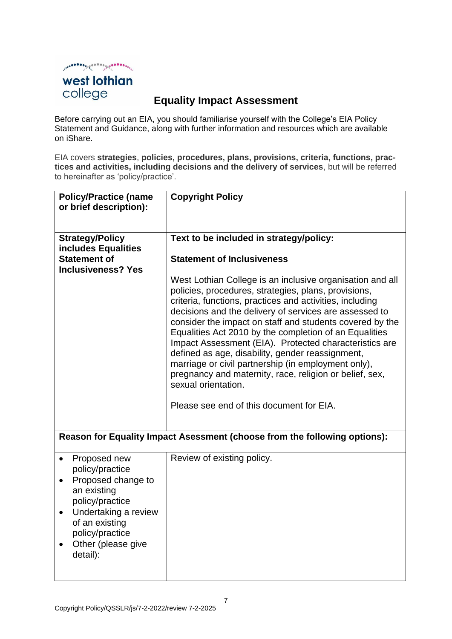

#### **Equality Impact Assessment**

Before carrying out an EIA, you should familiarise yourself with the College's EIA Policy Statement and Guidance, along with further information and resources which are available on iShare.

EIA covers **strategies**, **policies, procedures, plans, provisions, criteria, functions, practices and activities, including decisions and the delivery of services**, but will be referred to hereinafter as 'policy/practice'.

| <b>Policy/Practice (name</b>                                                                                                                                                                                     | <b>Copyright Policy</b>                                                                                                                                                                                                                                                                                                                                                                                                                                                                                                                                                                                                                                          |
|------------------------------------------------------------------------------------------------------------------------------------------------------------------------------------------------------------------|------------------------------------------------------------------------------------------------------------------------------------------------------------------------------------------------------------------------------------------------------------------------------------------------------------------------------------------------------------------------------------------------------------------------------------------------------------------------------------------------------------------------------------------------------------------------------------------------------------------------------------------------------------------|
| or brief description):                                                                                                                                                                                           |                                                                                                                                                                                                                                                                                                                                                                                                                                                                                                                                                                                                                                                                  |
|                                                                                                                                                                                                                  |                                                                                                                                                                                                                                                                                                                                                                                                                                                                                                                                                                                                                                                                  |
|                                                                                                                                                                                                                  |                                                                                                                                                                                                                                                                                                                                                                                                                                                                                                                                                                                                                                                                  |
| <b>Strategy/Policy</b>                                                                                                                                                                                           | Text to be included in strategy/policy:                                                                                                                                                                                                                                                                                                                                                                                                                                                                                                                                                                                                                          |
| includes Equalities                                                                                                                                                                                              |                                                                                                                                                                                                                                                                                                                                                                                                                                                                                                                                                                                                                                                                  |
| <b>Statement of</b>                                                                                                                                                                                              | <b>Statement of Inclusiveness</b>                                                                                                                                                                                                                                                                                                                                                                                                                                                                                                                                                                                                                                |
| <b>Inclusiveness? Yes</b>                                                                                                                                                                                        |                                                                                                                                                                                                                                                                                                                                                                                                                                                                                                                                                                                                                                                                  |
|                                                                                                                                                                                                                  | West Lothian College is an inclusive organisation and all<br>policies, procedures, strategies, plans, provisions,<br>criteria, functions, practices and activities, including<br>decisions and the delivery of services are assessed to<br>consider the impact on staff and students covered by the<br>Equalities Act 2010 by the completion of an Equalities<br>Impact Assessment (EIA). Protected characteristics are<br>defined as age, disability, gender reassignment,<br>marriage or civil partnership (in employment only),<br>pregnancy and maternity, race, religion or belief, sex,<br>sexual orientation.<br>Please see end of this document for EIA. |
|                                                                                                                                                                                                                  | Reason for Equality Impact Asessment (choose from the following options):                                                                                                                                                                                                                                                                                                                                                                                                                                                                                                                                                                                        |
| Proposed new<br>$\bullet$<br>policy/practice<br>Proposed change to<br>an existing<br>policy/practice<br>Undertaking a review<br>$\bullet$<br>of an existing<br>policy/practice<br>Other (please give<br>detail): | Review of existing policy.                                                                                                                                                                                                                                                                                                                                                                                                                                                                                                                                                                                                                                       |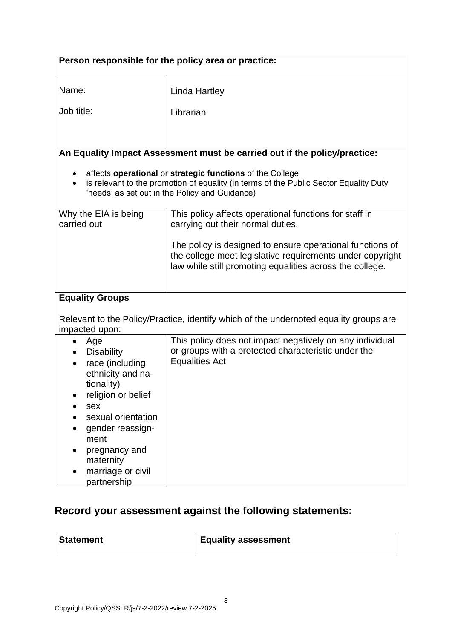| Person responsible for the policy area or practice:                                                                                                                                                                                  |                                                                                                                                                                                                      |  |
|--------------------------------------------------------------------------------------------------------------------------------------------------------------------------------------------------------------------------------------|------------------------------------------------------------------------------------------------------------------------------------------------------------------------------------------------------|--|
| Name:                                                                                                                                                                                                                                | Linda Hartley                                                                                                                                                                                        |  |
| Job title:                                                                                                                                                                                                                           | Librarian                                                                                                                                                                                            |  |
|                                                                                                                                                                                                                                      |                                                                                                                                                                                                      |  |
|                                                                                                                                                                                                                                      | An Equality Impact Assessment must be carried out if the policy/practice:                                                                                                                            |  |
|                                                                                                                                                                                                                                      | affects operational or strategic functions of the College<br>is relevant to the promotion of equality (in terms of the Public Sector Equality Duty<br>'needs' as set out in the Policy and Guidance) |  |
| Why the EIA is being<br>carried out                                                                                                                                                                                                  | This policy affects operational functions for staff in<br>carrying out their normal duties.                                                                                                          |  |
|                                                                                                                                                                                                                                      | The policy is designed to ensure operational functions of<br>the college meet legislative requirements under copyright<br>law while still promoting equalities across the college.                   |  |
| <b>Equality Groups</b>                                                                                                                                                                                                               | Relevant to the Policy/Practice, identify which of the undernoted equality groups are                                                                                                                |  |
| impacted upon:                                                                                                                                                                                                                       |                                                                                                                                                                                                      |  |
| Age<br>٠<br><b>Disability</b><br>race (including<br>ethnicity and na-<br>tionality)<br>religion or belief<br>sex<br>sexual orientation<br>gender reassign-<br>ment<br>pregnancy and<br>maternity<br>marriage or civil<br>partnership | This policy does not impact negatively on any individual<br>or groups with a protected characteristic under the<br>Equalities Act.                                                                   |  |

### **Record your assessment against the following statements:**

| <b>Statement</b> | <b>Equality assessment</b> |
|------------------|----------------------------|
|                  |                            |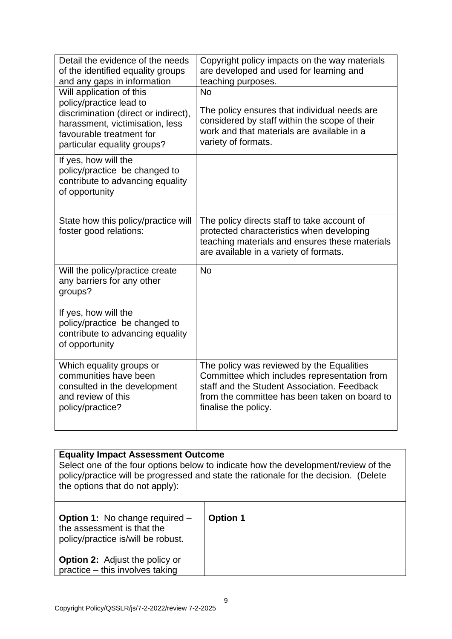| Detail the evidence of the needs<br>of the identified equality groups<br>and any gaps in information                                                                                      | Copyright policy impacts on the way materials<br>are developed and used for learning and<br>teaching purposes.                                                                                                    |
|-------------------------------------------------------------------------------------------------------------------------------------------------------------------------------------------|-------------------------------------------------------------------------------------------------------------------------------------------------------------------------------------------------------------------|
| Will application of this<br>policy/practice lead to<br>discrimination (direct or indirect),<br>harassment, victimisation, less<br>favourable treatment for<br>particular equality groups? | <b>No</b><br>The policy ensures that individual needs are<br>considered by staff within the scope of their<br>work and that materials are available in a<br>variety of formats.                                   |
| If yes, how will the<br>policy/practice be changed to<br>contribute to advancing equality<br>of opportunity                                                                               |                                                                                                                                                                                                                   |
| State how this policy/practice will<br>foster good relations:                                                                                                                             | The policy directs staff to take account of<br>protected characteristics when developing<br>teaching materials and ensures these materials<br>are available in a variety of formats.                              |
| Will the policy/practice create<br>any barriers for any other<br>groups?                                                                                                                  | <b>No</b>                                                                                                                                                                                                         |
| If yes, how will the<br>policy/practice be changed to<br>contribute to advancing equality<br>of opportunity                                                                               |                                                                                                                                                                                                                   |
| Which equality groups or<br>communities have been<br>consulted in the development<br>and review of this<br>policy/practice?                                                               | The policy was reviewed by the Equalities<br>Committee which includes representation from<br>staff and the Student Association. Feedback<br>from the committee has been taken on board to<br>finalise the policy. |

| <b>Equality Impact Assessment Outcome</b><br>Select one of the four options below to indicate how the development/review of the<br>policy/practice will be progressed and state the rationale for the decision. (Delete<br>the options that do not apply): |                 |  |
|------------------------------------------------------------------------------------------------------------------------------------------------------------------------------------------------------------------------------------------------------------|-----------------|--|
| <b>Option 1:</b> No change required –<br>the assessment is that the<br>policy/practice is/will be robust.                                                                                                                                                  | <b>Option 1</b> |  |
| <b>Option 2:</b> Adjust the policy or<br>practice – this involves taking                                                                                                                                                                                   |                 |  |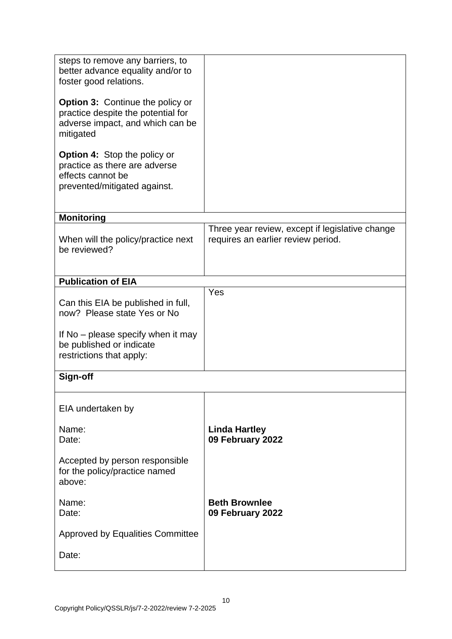| steps to remove any barriers, to<br>better advance equality and/or to<br>foster good relations.<br><b>Option 3: Continue the policy or</b><br>practice despite the potential for<br>adverse impact, and which can be<br>mitigated<br><b>Option 4: Stop the policy or</b><br>practice as there are adverse<br>effects cannot be<br>prevented/mitigated against. |                                                                                       |
|----------------------------------------------------------------------------------------------------------------------------------------------------------------------------------------------------------------------------------------------------------------------------------------------------------------------------------------------------------------|---------------------------------------------------------------------------------------|
| <b>Monitoring</b>                                                                                                                                                                                                                                                                                                                                              |                                                                                       |
| When will the policy/practice next<br>be reviewed?                                                                                                                                                                                                                                                                                                             | Three year review, except if legislative change<br>requires an earlier review period. |
| <b>Publication of EIA</b>                                                                                                                                                                                                                                                                                                                                      |                                                                                       |
| Can this EIA be published in full,<br>now? Please state Yes or No<br>If No – please specify when it may<br>be published or indicate<br>restrictions that apply:                                                                                                                                                                                                | Yes                                                                                   |
| Sign-off                                                                                                                                                                                                                                                                                                                                                       |                                                                                       |
|                                                                                                                                                                                                                                                                                                                                                                |                                                                                       |
| EIA undertaken by                                                                                                                                                                                                                                                                                                                                              |                                                                                       |
| Name:<br>Date:                                                                                                                                                                                                                                                                                                                                                 | <b>Linda Hartley</b><br>09 February 2022                                              |
| Accepted by person responsible<br>for the policy/practice named<br>above:                                                                                                                                                                                                                                                                                      |                                                                                       |
| Name:<br>Date:                                                                                                                                                                                                                                                                                                                                                 | <b>Beth Brownlee</b><br>09 February 2022                                              |
| <b>Approved by Equalities Committee</b>                                                                                                                                                                                                                                                                                                                        |                                                                                       |
| Date:                                                                                                                                                                                                                                                                                                                                                          |                                                                                       |